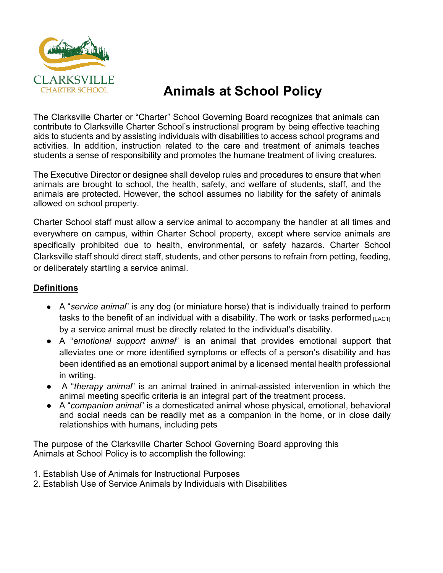

# **Animals at School Policy**

The Clarksville Charter or "Charter" School Governing Board recognizes that animals can contribute to Clarksville Charter School's instructional program by being effective teaching aids to students and by assisting individuals with disabilities to access school programs and activities. In addition, instruction related to the care and treatment of animals teaches students a sense of responsibility and promotes the humane treatment of living creatures.

The Executive Director or designee shall develop rules and procedures to ensure that when animals are brought to school, the health, safety, and welfare of students, staff, and the animals are protected. However, the school assumes no liability for the safety of animals allowed on school property.

Charter School staff must allow a service animal to accompany the handler at all times and everywhere on campus, within Charter School property, except where service animals are specifically prohibited due to health, environmental, or safety hazards. Charter School Clarksville staff should direct staff, students, and other persons to refrain from petting, feeding, or deliberately startling a service animal.

# **Definitions**

- A "*service animal*" is any dog (or miniature horse) that is individually trained to perform tasks to the benefit of an individual with a disability. The work or tasks performed  $[LaC1]$ by a service animal must be directly related to the individual's disability.
- A "*emotional support animal*" is an animal that provides emotional support that alleviates one or more identified symptoms or effects of a person's disability and has been identified as an emotional support animal by a licensed mental health professional in writing.
- A "*therapy animal*" is an animal trained in animal-assisted intervention in which the animal meeting specific criteria is an integral part of the treatment process.
- A "*companion animal*" is a domesticated animal whose physical, emotional, behavioral and social needs can be readily met as a companion in the home, or in close daily relationships with humans, including pets

The purpose of the Clarksville Charter School Governing Board approving this Animals at School Policy is to accomplish the following:

- 1. Establish Use of Animals for Instructional Purposes
- 2. Establish Use of Service Animals by Individuals with Disabilities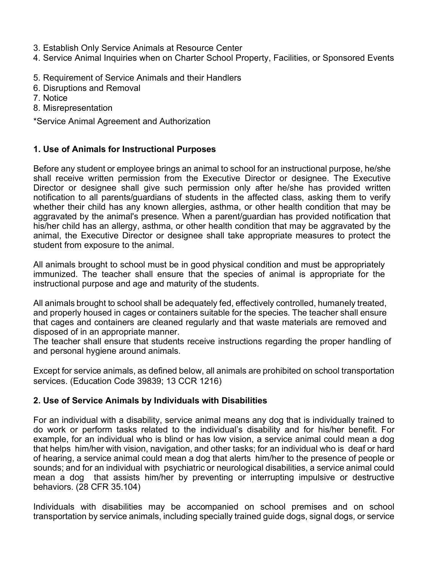- 3. Establish Only Service Animals at Resource Center
- 4. Service Animal Inquiries when on Charter School Property, Facilities, or Sponsored Events
- 5. Requirement of Service Animals and their Handlers
- 6. Disruptions and Removal
- 7. Notice
- 8. Misrepresentation

\*Service Animal Agreement and Authorization

# **1. Use of Animals for Instructional Purposes**

Before any student or employee brings an animal to school for an instructional purpose, he/she shall receive written permission from the Executive Director or designee. The Executive Director or designee shall give such permission only after he/she has provided written notification to all parents/guardians of students in the affected class, asking them to verify whether their child has any known allergies, asthma, or other health condition that may be aggravated by the animal's presence. When a parent/guardian has provided notification that his/her child has an allergy, asthma, or other health condition that may be aggravated by the animal, the Executive Director or designee shall take appropriate measures to protect the student from exposure to the animal.

All animals brought to school must be in good physical condition and must be appropriately immunized. The teacher shall ensure that the species of animal is appropriate for the instructional purpose and age and maturity of the students.

All animals brought to school shall be adequately fed, effectively controlled, humanely treated, and properly housed in cages or containers suitable for the species. The teacher shall ensure that cages and containers are cleaned regularly and that waste materials are removed and disposed of in an appropriate manner.

The teacher shall ensure that students receive instructions regarding the proper handling of and personal hygiene around animals.

Except for service animals, as defined below, all animals are prohibited on school transportation services. (Education Code 39839; 13 CCR 1216)

# **2. Use of Service Animals by Individuals with Disabilities**

For an individual with a disability, service animal means any dog that is individually trained to do work or perform tasks related to the individual's disability and for his/her benefit. For example, for an individual who is blind or has low vision, a service animal could mean a dog that helps him/her with vision, navigation, and other tasks; for an individual who is deaf or hard of hearing, a service animal could mean a dog that alerts him/her to the presence of people or sounds; and for an individual with psychiatric or neurological disabilities, a service animal could mean a dog that assists him/her by preventing or interrupting impulsive or destructive behaviors. (28 CFR 35.104)

Individuals with disabilities may be accompanied on school premises and on school transportation by service animals, including specially trained guide dogs, signal dogs, or service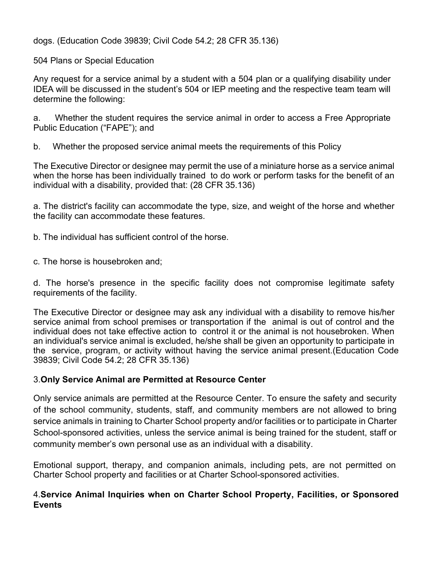dogs. (Education Code 39839; Civil Code 54.2; 28 CFR 35.136)

504 Plans or Special Education

Any request for a service animal by a student with a 504 plan or a qualifying disability under IDEA will be discussed in the student's 504 or IEP meeting and the respective team team will determine the following:

a. Whether the student requires the service animal in order to access a Free Appropriate Public Education ("FAPE"); and

b. Whether the proposed service animal meets the requirements of this Policy

The Executive Director or designee may permit the use of a miniature horse as a service animal when the horse has been individually trained to do work or perform tasks for the benefit of an individual with a disability, provided that: (28 CFR 35.136)

a. The district's facility can accommodate the type, size, and weight of the horse and whether the facility can accommodate these features.

b. The individual has sufficient control of the horse.

c. The horse is housebroken and;

d. The horse's presence in the specific facility does not compromise legitimate safety requirements of the facility.

The Executive Director or designee may ask any individual with a disability to remove his/her service animal from school premises or transportation if the animal is out of control and the individual does not take effective action to control it or the animal is not housebroken. When an individual's service animal is excluded, he/she shall be given an opportunity to participate in the service, program, or activity without having the service animal present.(Education Code 39839; Civil Code 54.2; 28 CFR 35.136)

# 3.**Only Service Animal are Permitted at Resource Center**

Only service animals are permitted at the Resource Center. To ensure the safety and security of the school community, students, staff, and community members are not allowed to bring service animals in training to Charter School property and/or facilities or to participate in Charter School-sponsored activities, unless the service animal is being trained for the student, staff or community member's own personal use as an individual with a disability.

Emotional support, therapy, and companion animals, including pets, are not permitted on Charter School property and facilities or at Charter School-sponsored activities.

# 4.**Service Animal Inquiries when on Charter School Property, Facilities, or Sponsored Events**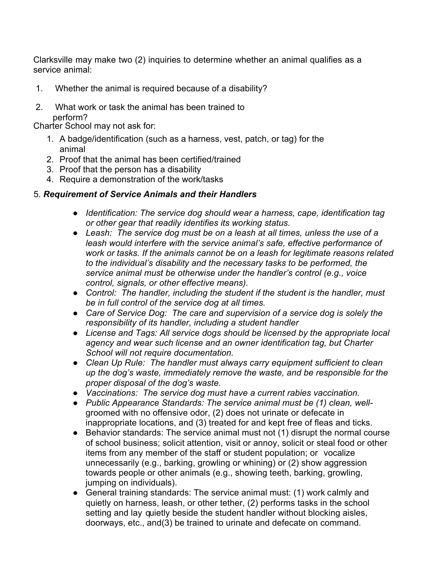Clarksville may make two (2) inquiries to determine whether an animal qualifies as a service animal:

- 1. Whether the animal is required because of a disability?
- 2. What work or task the animal has been trained to perform?

Charter School may not ask for:

- 1. A badge/identification (such as a harness, vest, patch, or tag) for the animal
- 2. Proof that the animal has been certified/trained
- 3. Proof that the person has a disability
- 4. Require a demonstration of the work/tasks

#### 5. *Requirement of Service Animals and their Handlers*

- *Identification: The service dog should wear a harness, cape, identification tag or other gear that readily identifies its working status.*
- *Leash: The service dog must be on a leash at all times, unless the use of a leash would interfere with the service animal's safe, effective performance of work or tasks. If the animals cannot be on a leash for legitimate reasons related to the individual's disability and the necessary tasks to be performed, the service animal must be otherwise under the handler's control (e.g., voice control, signals, or other effective means).*
- *Control: The handler, including the student if the student is the handler, must be in full control of the service dog at all times.*
- *Care of Service Dog: The care and supervision of a service dog is solely the responsibility of its handler, including a student handler*
- *License and Tags: All service dogs should be licensed by the appropriate local agency and wear such license and an owner identification tag, but Charter School will not require documentation.*
- *Clean Up Rule: The handler must always carry equipment sufficient to clean up the dog's waste, immediately remove the waste, and be responsible for the proper disposal of the dog's waste.*
- *Vaccinations: The service dog must have a current rabies vaccination.*
- *Public Appearance Standards: The service animal must be (1) clean, well*groomed with no offensive odor, (2) does not urinate or defecate in inappropriate locations, and (3) treated for and kept free of fleas and ticks.
- Behavior standards: The service animal must not (1) disrupt the normal course of school business; solicit attention, visit or annoy, solicit or steal food or other items from any member of the staff or student population; or vocalize unnecessarily (e.g., barking, growling or whining) or (2) show aggression towards people or other animals (e.g., showing teeth, barking, growling, jumping on individuals).
- General training standards: The service animal must: (1) work calmly and quietly on harness, leash, or other tether, (2) performs tasks in the school setting and lay quietly beside the student handler without blocking aisles, doorways, etc., and(3) be trained to urinate and defecate on command.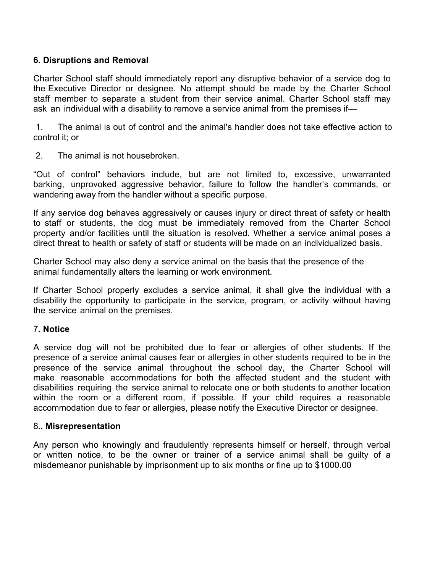#### **6. Disruptions and Removal**

Charter School staff should immediately report any disruptive behavior of a service dog to the Executive Director or designee. No attempt should be made by the Charter School staff member to separate a student from their service animal. Charter School staff may ask an individual with a disability to remove a service animal from the premises if—

1. The animal is out of control and the animal's handler does not take effective action to control it; or

2. The animal is not housebroken.

"Out of control" behaviors include, but are not limited to, excessive, unwarranted barking, unprovoked aggressive behavior, failure to follow the handler's commands, or wandering away from the handler without a specific purpose.

If any service dog behaves aggressively or causes injury or direct threat of safety or health to staff or students, the dog must be immediately removed from the Charter School property and/or facilities until the situation is resolved. Whether a service animal poses a direct threat to health or safety of staff or students will be made on an individualized basis.

Charter School may also deny a service animal on the basis that the presence of the animal fundamentally alters the learning or work environment.

If Charter School properly excludes a service animal, it shall give the individual with a disability the opportunity to participate in the service, program, or activity without having the service animal on the premises.

#### 7**. Notice**

A service dog will not be prohibited due to fear or allergies of other students. If the presence of a service animal causes fear or allergies in other students required to be in the presence of the service animal throughout the school day, the Charter School will make reasonable accommodations for both the affected student and the student with disabilities requiring the service animal to relocate one or both students to another location within the room or a different room, if possible. If your child requires a reasonable accommodation due to fear or allergies, please notify the Executive Director or designee.

#### 8.**. Misrepresentation**

Any person who knowingly and fraudulently represents himself or herself, through verbal or written notice, to be the owner or trainer of a service animal shall be guilty of a misdemeanor punishable by imprisonment up to six months or fine up to \$1000.00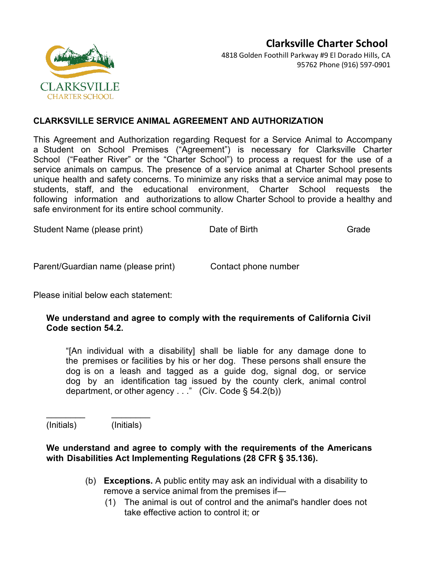# **Clarksville Charter School**



4818 Golden Foothill Parkway #9 El Dorado Hills, CA 95762 Phone (916) 597-0901

# **CLARKSVILLE SERVICE ANIMAL AGREEMENT AND AUTHORIZATION**

This Agreement and Authorization regarding Request for a Service Animal to Accompany a Student on School Premises ("Agreement") is necessary for Clarksville Charter School ("Feather River" or the "Charter School") to process a request for the use of a service animals on campus. The presence of a service animal at Charter School presents unique health and safety concerns. To minimize any risks that a service animal may pose to students, staff, and the educational environment, Charter School requests the following information and authorizations to allow Charter School to provide a healthy and safe environment for its entire school community.

Student Name (please print) Date of Birth Grade

Parent/Guardian name (please print) Contact phone number

Please initial below each statement:

#### **We understand and agree to comply with the requirements of California Civil Code section 54.2.**

"[An individual with a disability] shall be liable for any damage done to the premises or facilities by his or her dog. These persons shall ensure the dog is on a leash and tagged as a guide dog, signal dog, or service dog by an identification tag issued by the county clerk, animal control department, or other agency  $\ldots$ " (Civ. Code § 54.2(b))

(Initials) (Initials)

\_\_\_\_\_\_\_\_ \_\_\_\_\_\_\_\_

#### **We understand and agree to comply with the requirements of the Americans with Disabilities Act Implementing Regulations (28 CFR § 35.136).**

- (b) **Exceptions.** A public entity may ask an individual with a disability to remove a service animal from the premises if—
	- (1) The animal is out of control and the animal's handler does not take effective action to control it; or